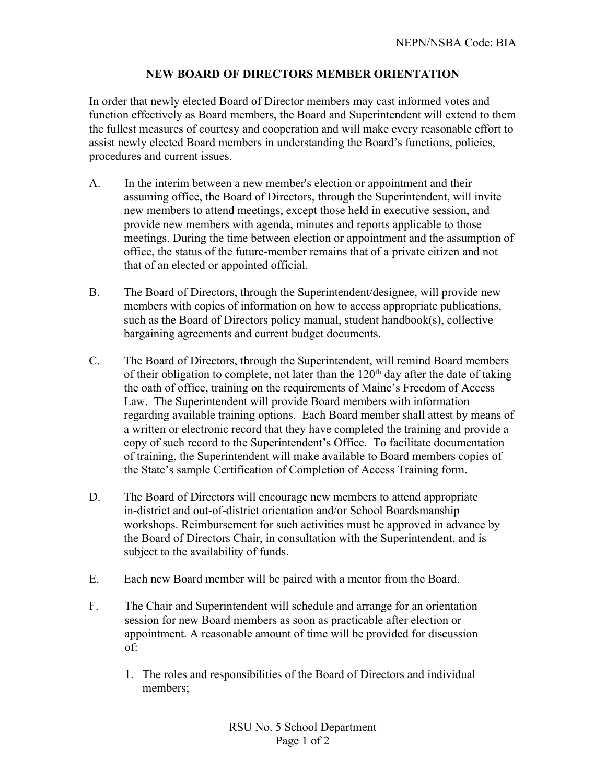## **NEW BOARD OF DIRECTORS MEMBER ORIENTATION**

In order that newly elected Board of Director members may cast informed votes and function effectively as Board members, the Board and Superintendent will extend to them the fullest measures of courtesy and cooperation and will make every reasonable effort to assist newly elected Board members in understanding the Board's functions, policies, procedures and current issues.

- A. In the interim between a new member's election or appointment and their assuming office, the Board of Directors, through the Superintendent, will invite new members to attend meetings, except those held in executive session, and provide new members with agenda, minutes and reports applicable to those meetings. During the time between election or appointment and the assumption of office, the status of the future-member remains that of a private citizen and not that of an elected or appointed official.
- B. The Board of Directors, through the Superintendent/designee, will provide new members with copies of information on how to access appropriate publications, such as the Board of Directors policy manual, student handbook(s), collective bargaining agreements and current budget documents.
- C. The Board of Directors, through the Superintendent, will remind Board members of their obligation to complete, not later than the  $120<sup>th</sup>$  day after the date of taking the oath of office, training on the requirements of Maine's Freedom of Access Law. The Superintendent will provide Board members with information regarding available training options. Each Board member shall attest by means of a written or electronic record that they have completed the training and provide a copy of such record to the Superintendent's Office. To facilitate documentation of training, the Superintendent will make available to Board members copies of the State's sample Certification of Completion of Access Training form.
- D. The Board of Directors will encourage new members to attend appropriate in-district and out-of-district orientation and/or School Boardsmanship workshops. Reimbursement for such activities must be approved in advance by the Board of Directors Chair, in consultation with the Superintendent, and is subject to the availability of funds.
- E. Each new Board member will be paired with a mentor from the Board.
- F. The Chair and Superintendent will schedule and arrange for an orientation session for new Board members as soon as practicable after election or appointment. A reasonable amount of time will be provided for discussion of:
	- 1. The roles and responsibilities of the Board of Directors and individual members;